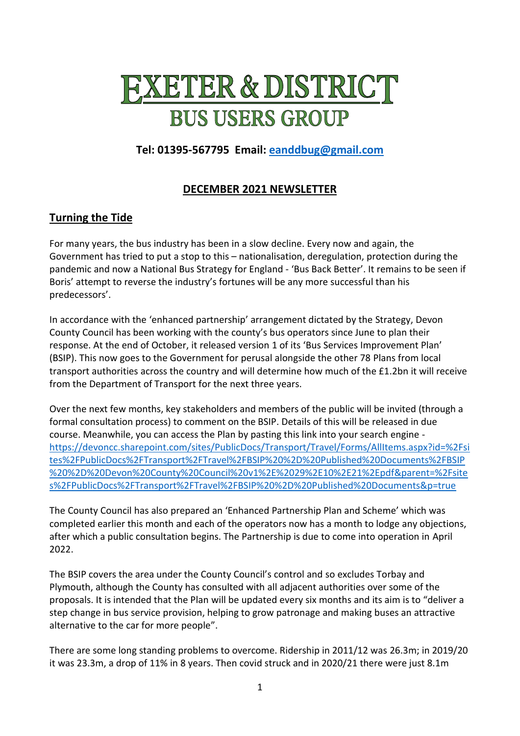# **FXETER & DISTRICT BUS USERS GROUP**

# **Tel: 01395-567795 Email: [eanddbug@gmail.com](mailto:eanddbug@gmail.com)**

## **DECEMBER 2021 NEWSLETTER**

### **Turning the Tide**

For many years, the bus industry has been in a slow decline. Every now and again, the Government has tried to put a stop to this – nationalisation, deregulation, protection during the pandemic and now a National Bus Strategy for England - 'Bus Back Better'. It remains to be seen if Boris' attempt to reverse the industry's fortunes will be any more successful than his predecessors'.

In accordance with the 'enhanced partnership' arrangement dictated by the Strategy, Devon County Council has been working with the county's bus operators since June to plan their response. At the end of October, it released version 1 of its 'Bus Services Improvement Plan' (BSIP). This now goes to the Government for perusal alongside the other 78 Plans from local transport authorities across the country and will determine how much of the £1.2bn it will receive from the Department of Transport for the next three years.

Over the next few months, key stakeholders and members of the public will be invited (through a formal consultation process) to comment on the BSIP. Details of this will be released in due course. Meanwhile, you can access the Plan by pasting this link into your search engine [https://devoncc.sharepoint.com/sites/PublicDocs/Transport/Travel/Forms/AllItems.aspx?id=%2Fsi](https://devoncc.sharepoint.com/sites/PublicDocs/Transport/Travel/Forms/AllItems.aspx?id=%2Fsites%2FPublicDocs%2FTransport%2FTravel%2FBSIP%20%2D%20Published%20Documents%2FBSIP%20%2D%20Devon%20County%20Council%20v1%2E%2029%2E10%2E21%2Epdf&parent=%2Fsites%2FPublicDocs%2FTransport%2FTravel%2FBSIP%20%2D%20Published%20Documents&p=true) [tes%2FPublicDocs%2FTransport%2FTravel%2FBSIP%20%2D%20Published%20Documents%2FBSIP](https://devoncc.sharepoint.com/sites/PublicDocs/Transport/Travel/Forms/AllItems.aspx?id=%2Fsites%2FPublicDocs%2FTransport%2FTravel%2FBSIP%20%2D%20Published%20Documents%2FBSIP%20%2D%20Devon%20County%20Council%20v1%2E%2029%2E10%2E21%2Epdf&parent=%2Fsites%2FPublicDocs%2FTransport%2FTravel%2FBSIP%20%2D%20Published%20Documents&p=true) [%20%2D%20Devon%20County%20Council%20v1%2E%2029%2E10%2E21%2Epdf&parent=%2Fsite](https://devoncc.sharepoint.com/sites/PublicDocs/Transport/Travel/Forms/AllItems.aspx?id=%2Fsites%2FPublicDocs%2FTransport%2FTravel%2FBSIP%20%2D%20Published%20Documents%2FBSIP%20%2D%20Devon%20County%20Council%20v1%2E%2029%2E10%2E21%2Epdf&parent=%2Fsites%2FPublicDocs%2FTransport%2FTravel%2FBSIP%20%2D%20Published%20Documents&p=true) [s%2FPublicDocs%2FTransport%2FTravel%2FBSIP%20%2D%20Published%20Documents&p=true](https://devoncc.sharepoint.com/sites/PublicDocs/Transport/Travel/Forms/AllItems.aspx?id=%2Fsites%2FPublicDocs%2FTransport%2FTravel%2FBSIP%20%2D%20Published%20Documents%2FBSIP%20%2D%20Devon%20County%20Council%20v1%2E%2029%2E10%2E21%2Epdf&parent=%2Fsites%2FPublicDocs%2FTransport%2FTravel%2FBSIP%20%2D%20Published%20Documents&p=true)

The County Council has also prepared an 'Enhanced Partnership Plan and Scheme' which was completed earlier this month and each of the operators now has a month to lodge any objections, after which a public consultation begins. The Partnership is due to come into operation in April 2022.

The BSIP covers the area under the County Council's control and so excludes Torbay and Plymouth, although the County has consulted with all adjacent authorities over some of the proposals. It is intended that the Plan will be updated every six months and its aim is to "deliver a step change in bus service provision, helping to grow patronage and making buses an attractive alternative to the car for more people".

There are some long standing problems to overcome. Ridership in 2011/12 was 26.3m; in 2019/20 it was 23.3m, a drop of 11% in 8 years. Then covid struck and in 2020/21 there were just 8.1m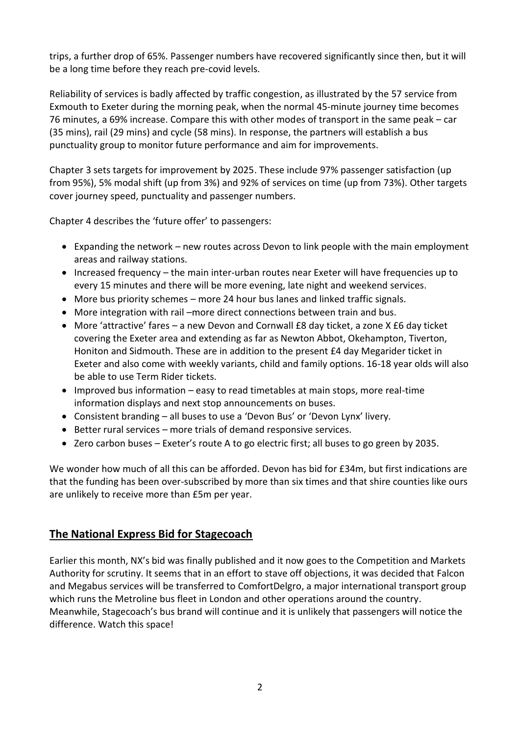trips, a further drop of 65%. Passenger numbers have recovered significantly since then, but it will be a long time before they reach pre-covid levels.

Reliability of services is badly affected by traffic congestion, as illustrated by the 57 service from Exmouth to Exeter during the morning peak, when the normal 45-minute journey time becomes 76 minutes, a 69% increase. Compare this with other modes of transport in the same peak – car (35 mins), rail (29 mins) and cycle (58 mins). In response, the partners will establish a bus punctuality group to monitor future performance and aim for improvements.

Chapter 3 sets targets for improvement by 2025. These include 97% passenger satisfaction (up from 95%), 5% modal shift (up from 3%) and 92% of services on time (up from 73%). Other targets cover journey speed, punctuality and passenger numbers.

Chapter 4 describes the 'future offer' to passengers:

- Expanding the network new routes across Devon to link people with the main employment areas and railway stations.
- Increased frequency the main inter-urban routes near Exeter will have frequencies up to every 15 minutes and there will be more evening, late night and weekend services.
- More bus priority schemes more 24 hour bus lanes and linked traffic signals.
- More integration with rail –more direct connections between train and bus.
- More 'attractive' fares a new Devon and Cornwall £8 day ticket, a zone X £6 day ticket covering the Exeter area and extending as far as Newton Abbot, Okehampton, Tiverton, Honiton and Sidmouth. These are in addition to the present £4 day Megarider ticket in Exeter and also come with weekly variants, child and family options. 16-18 year olds will also be able to use Term Rider tickets.
- Improved bus information easy to read timetables at main stops, more real-time information displays and next stop announcements on buses.
- Consistent branding all buses to use a 'Devon Bus' or 'Devon Lynx' livery.
- Better rural services more trials of demand responsive services.
- Zero carbon buses Exeter's route A to go electric first; all buses to go green by 2035.

We wonder how much of all this can be afforded. Devon has bid for £34m, but first indications are that the funding has been over-subscribed by more than six times and that shire counties like ours are unlikely to receive more than £5m per year.

#### **The National Express Bid for Stagecoach**

Earlier this month, NX's bid was finally published and it now goes to the Competition and Markets Authority for scrutiny. It seems that in an effort to stave off objections, it was decided that Falcon and Megabus services will be transferred to ComfortDelgro, a major international transport group which runs the Metroline bus fleet in London and other operations around the country. Meanwhile, Stagecoach's bus brand will continue and it is unlikely that passengers will notice the difference. Watch this space!